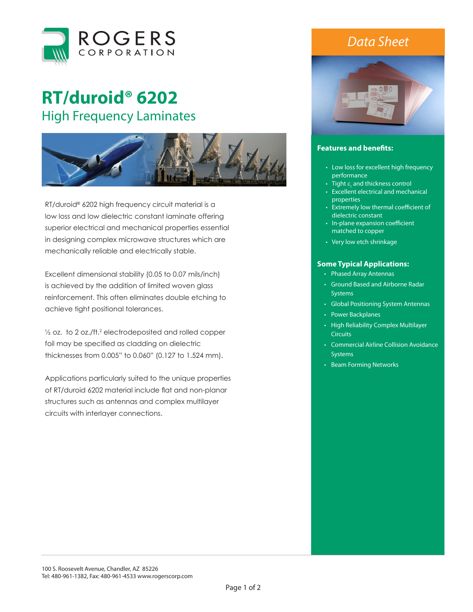

## **RT/duroid® 6202**  High Frequency Laminates



RT/duroid® 6202 high frequency circuit material is a low loss and low dielectric constant laminate offering superior electrical and mechanical properties essential in designing complex microwave structures which are mechanically reliable and electrically stable.

Excellent dimensional stability (0.05 to 0.07 mils/inch) is achieved by the addition of limited woven glass reinforcement. This often eliminates double etching to achieve tight positional tolerances.

 $\frac{1}{2}$  oz. to 2 oz./ft.<sup>2</sup> electrodeposited and rolled copper foil may be specified as cladding on dielectric thicknesses from 0.005" to 0.060" (0.127 to 1.524 mm).

Applications particularly suited to the unique properties of RT/duroid 6202 material include flat and non-planar structures such as antennas and complex multilayer circuits with interlayer connections.

## *Data Sheet*



## **Features and benefits:**

- Low loss for excellent high frequency performance
- Tight  $\varepsilon_{_{\!{}_f}}$  and thickness control
- Excellent electrical and mechanical properties
- Extremely low thermal coefficient of dielectric constant
- In-plane expansion coefficient matched to copper
- Very low etch shrinkage

## **Some Typical Applications:**

- Phased Array Antennas
- Ground Based and Airborne Radar **Systems**
- Global Positioning System Antennas
- Power Backplanes
- High Reliability Complex Multilayer **Circuits**
- Commercial Airline Collision Avoidance **Systems**
- Beam Forming Networks